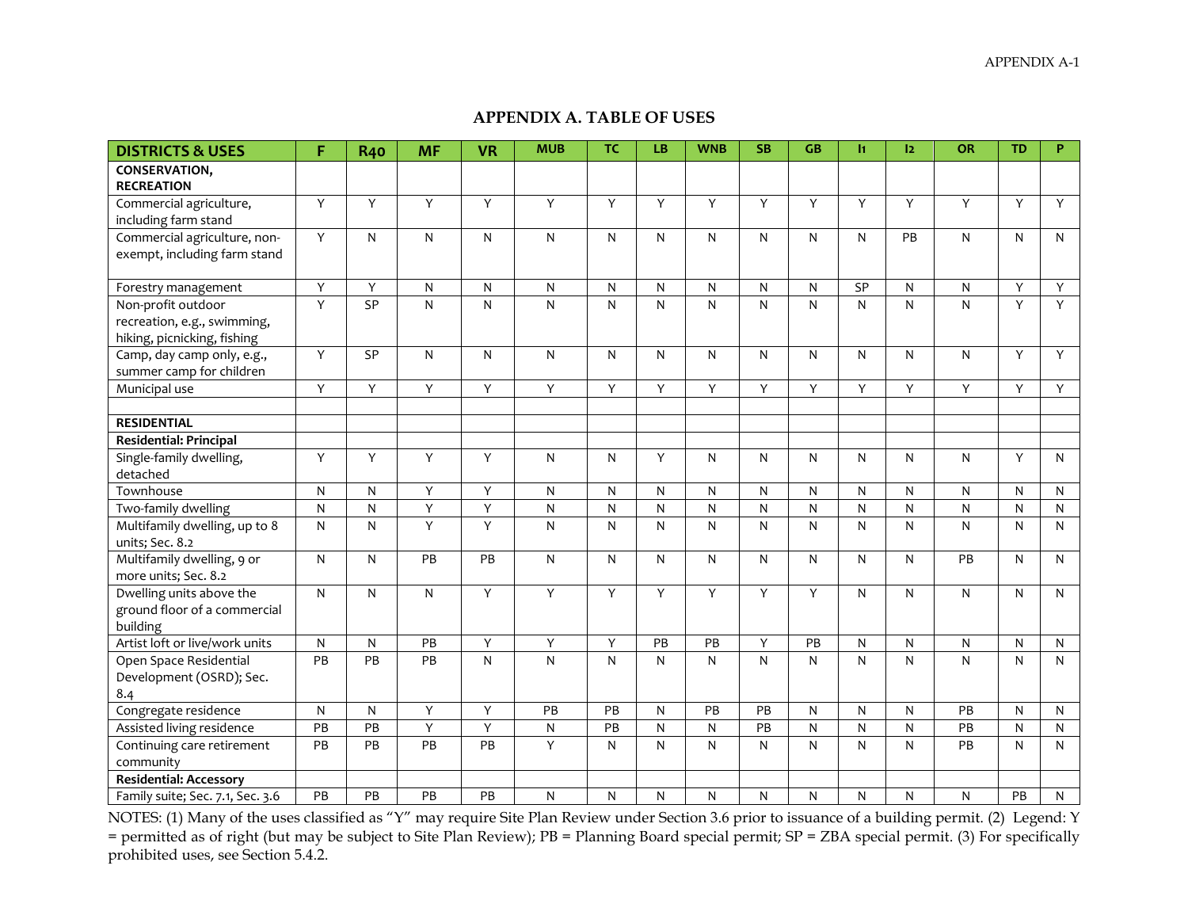## **APPENDIX A. TABLE OF USES**

| <b>DISTRICTS &amp; USES</b>                                | F               | <b>R40</b>   | <b>MF</b>      | <b>VR</b>         | <b>MUB</b>   | <b>TC</b>      | LB             | <b>WNB</b>   | <b>SB</b>      | GB        | $\mathbf{H}$   | 12           | OR                        | <b>TD</b>      | P.             |
|------------------------------------------------------------|-----------------|--------------|----------------|-------------------|--------------|----------------|----------------|--------------|----------------|-----------|----------------|--------------|---------------------------|----------------|----------------|
| <b>CONSERVATION,</b><br><b>RECREATION</b>                  |                 |              |                |                   |              |                |                |              |                |           |                |              |                           |                |                |
| Commercial agriculture,                                    | Y               | Y            | $\overline{Y}$ | Y                 | Y            | Y              | Y              | Y            | $\overline{Y}$ | Y         | $\overline{Y}$ | Y            | $\overline{Y}$            | Y              | $\overline{Y}$ |
| including farm stand                                       |                 |              |                |                   |              |                |                |              |                |           |                |              |                           |                |                |
| Commercial agriculture, non-                               | Y               | ${\sf N}$    | N              | N                 | N            | N              | N              | $\mathsf{N}$ | $\mathsf{N}$   | N         | $\mathsf{N}$   | PB           | $\mathsf{N}$              | $\mathsf{N}$   | $\mathsf{N}$   |
| exempt, including farm stand                               |                 |              |                |                   |              |                |                |              |                |           |                |              |                           |                |                |
| Forestry management                                        | Υ               | Y            | ${\sf N}$      | N                 | N            | N              | N              | ${\sf N}$    | ${\sf N}$      | N         | S <sub>P</sub> | N            | ${\sf N}$                 | Y              | $\overline{Y}$ |
| Non-profit outdoor                                         | $\overline{Y}$  | SP           | ${\sf N}$      | N                 | N            | N              | N              | $\mathsf{N}$ | $\overline{N}$ | N         | ${\sf N}$      | $\mathsf{N}$ | $\overline{N}$            | $\overline{Y}$ | Y              |
| recreation, e.g., swimming,<br>hiking, picnicking, fishing |                 |              |                |                   |              |                |                |              |                |           |                |              |                           |                |                |
| Camp, day camp only, e.g.,                                 | Υ               | SP           | $\mathsf{N}$   | N                 | $\mathsf{N}$ | N              | N              | ${\sf N}$    | $\mathsf{N}$   | N         | ${\sf N}$      | N            | ${\sf N}$                 | Y              | Y              |
| summer camp for children                                   |                 |              |                |                   |              |                |                |              |                |           |                |              |                           |                |                |
| Municipal use                                              | Υ               | Y            | Y              | Y                 | Υ            | Y              | Υ              | Y            | Y              | Y         | Y              | Υ            | Y                         | Y              | Y              |
|                                                            |                 |              |                |                   |              |                |                |              |                |           |                |              |                           |                |                |
| <b>RESIDENTIAL</b>                                         |                 |              |                |                   |              |                |                |              |                |           |                |              |                           |                |                |
| Residential: Principal                                     |                 |              |                |                   |              |                |                |              |                |           |                |              |                           |                |                |
| Single-family dwelling,                                    | Υ               | Υ            | $\overline{Y}$ | Υ                 | ${\sf N}$    | N              | Υ              | ${\sf N}$    | ${\sf N}$      | N         | $\mathsf{N}$   | N            | ${\sf N}$                 | Y              | $\mathsf{N}$   |
| detached                                                   |                 |              |                |                   |              |                |                |              |                |           |                |              |                           |                |                |
| Townhouse                                                  | $\mathsf{N}$    | $\mathsf{N}$ | $\overline{Y}$ | Y                 | N            | N              | N              | $\mathsf{N}$ | ${\sf N}$      | N         | $\mathsf{N}$   | N            | $\mathsf{N}$              | N              | N              |
| Two-family dwelling                                        | ${\sf N}$       | N            | Υ              | Υ                 | N            | ${\sf N}$      | N              | ${\sf N}$    | ${\sf N}$      | ${\sf N}$ | ${\sf N}$      | ${\sf N}$    | N                         | N              | N              |
| Multifamily dwelling, up to 8                              | ${\sf N}$       | ${\sf N}$    | $\overline{Y}$ | Y                 | N            | N              | N              | ${\sf N}$    | ${\sf N}$      | N         | ${\sf N}$      | $\mathsf{N}$ | ${\sf N}$                 | N              | N              |
| units; Sec. 8.2                                            |                 |              |                |                   |              |                |                |              |                |           |                |              |                           |                |                |
| Multifamily dwelling, 9 or                                 | $\mathsf{N}$    | $\mathsf{N}$ | PB             | PB                | N            | N              | N              | ${\sf N}$    | $\mathsf{N}$   | N         | ${\sf N}$      | N            | PB                        | N              | $\mathsf{N}$   |
| more units; Sec. 8.2                                       |                 |              |                |                   |              |                |                |              |                |           |                |              |                           |                |                |
| Dwelling units above the                                   | ${\sf N}$       | ${\sf N}$    | ${\sf N}$      | Y                 | Y            | $\overline{Y}$ | $\overline{Y}$ | Y            | Y              | Y         | ${\sf N}$      | N            | ${\sf N}$                 | N              | $\mathsf{N}$   |
| ground floor of a commercial                               |                 |              |                |                   |              |                |                |              |                |           |                |              |                           |                |                |
| building                                                   |                 |              |                |                   |              |                |                |              |                |           |                |              |                           |                |                |
| Artist loft or live/work units                             | ${\sf N}$<br>PB | ${\sf N}$    | PB<br>PB       | Υ<br>$\mathsf{N}$ | Υ            | Υ              | PB             | PB           | Υ              | PB        | ${\sf N}$      | ${\sf N}$    | ${\sf N}$<br>$\mathsf{N}$ | ${\sf N}$      | N              |
| Open Space Residential                                     |                 | PB           |                |                   | N            | N              | N              | $\mathsf{N}$ | $\mathsf{N}$   | N         | N              | N            |                           | N              | N              |
| Development (OSRD); Sec.<br>8.4                            |                 |              |                |                   |              |                |                |              |                |           |                |              |                           |                |                |
| Congregate residence                                       | $\mathsf{N}$    | N            | Υ              | Υ                 | PB           | PB             | N              | PB           | PB             | N         | $\mathsf{N}$   | N            | PB                        | N              | $\mathsf{N}$   |
| Assisted living residence                                  | PB              | PB           | Υ              | Ϋ                 | N            | PB             | N              | ${\sf N}$    | PB             | ${\sf N}$ | ${\sf N}$      | N            | PB                        | N              | $\mathsf{N}$   |
| Continuing care retirement                                 | PB              | PB           | PB             | PB                | Υ            | N              | N              | ${\sf N}$    | ${\sf N}$      | N         | $\mathsf{N}$   | N            | PB                        | N              | $\mathsf{N}$   |
| community                                                  |                 |              |                |                   |              |                |                |              |                |           |                |              |                           |                |                |
| <b>Residential: Accessory</b>                              |                 |              |                |                   |              |                |                |              |                |           |                |              |                           |                |                |
| Family suite; Sec. 7.1, Sec. 3.6                           | PB              | PB           | PB             | PB                | $\mathsf{N}$ | N              | N              | N            | $\mathsf{N}$   | N         | $\mathsf{N}$   | N            | ${\sf N}$                 | PB             | N              |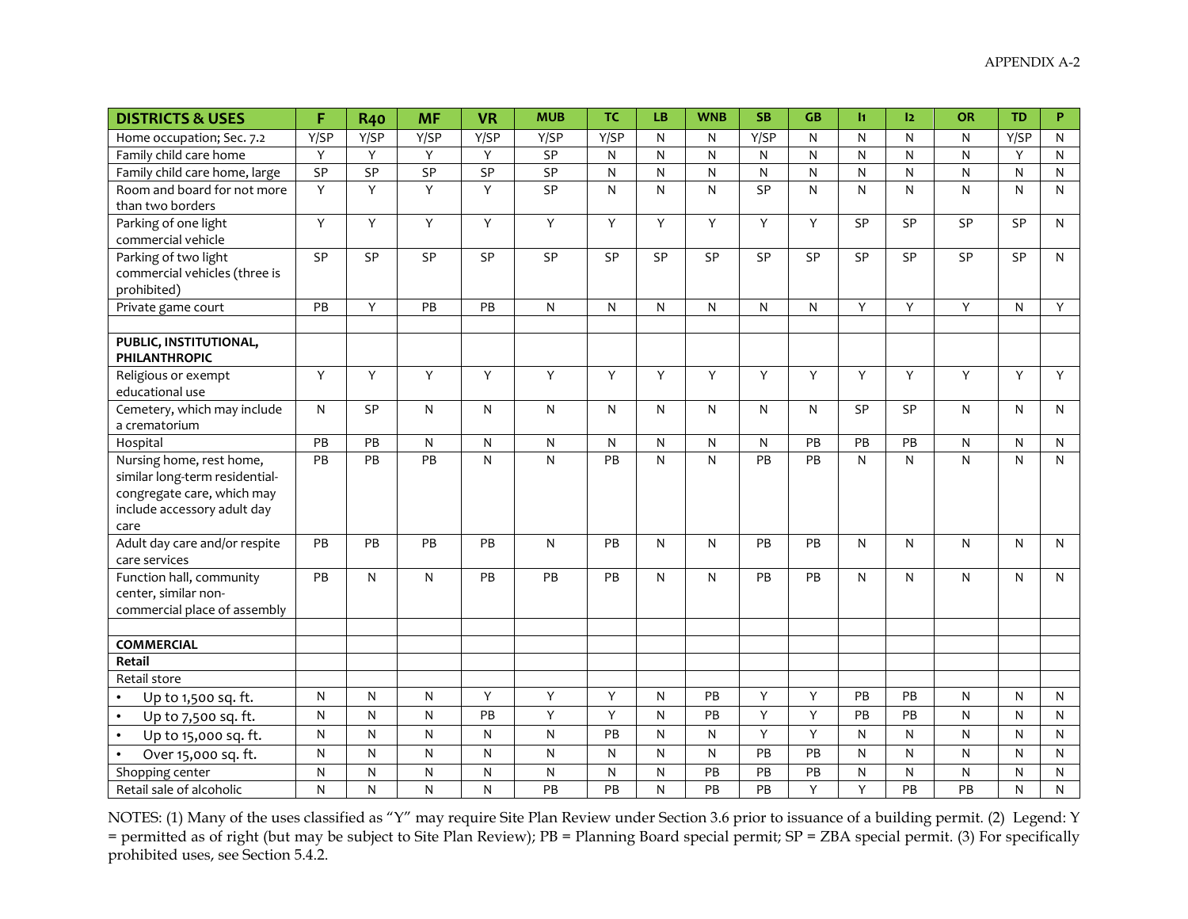| <b>DISTRICTS &amp; USES</b>                    | F              | <b>R40</b>     | <b>MF</b>      | <b>VR</b>      | <b>MUB</b> | <b>TC</b>    | <b>LB</b>    | <b>WNB</b>   | <b>SB</b>    | <b>GB</b>               | $\mathbf{h}$            | 12        | <b>OR</b>      | <b>TD</b> | P            |
|------------------------------------------------|----------------|----------------|----------------|----------------|------------|--------------|--------------|--------------|--------------|-------------------------|-------------------------|-----------|----------------|-----------|--------------|
| Home occupation; Sec. 7.2                      | Y/SP           | Y/SP           | Y/SP           | Y/SP           | Y/SP       | Y/SP         | N            | N            | Y/SP         | N                       | N                       | N         | N              | Y/SP      | N            |
| Family child care home                         | $\mathsf Y$    | Y              | Y              | Y              | SP         | $\mathsf{N}$ | N            | ${\sf N}$    | $\mathsf{N}$ | $\overline{\mathsf{N}}$ | $\overline{\mathsf{N}}$ | ${\sf N}$ | $\overline{N}$ | Y         | N            |
| Family child care home, large                  | SP             | SP             | SP             | SP             | SP         | ${\sf N}$    | ${\sf N}$    | ${\sf N}$    | ${\sf N}$    | ${\sf N}$               | ${\sf N}$               | ${\sf N}$ | ${\sf N}$      | ${\sf N}$ | N            |
| Room and board for not more                    | $\overline{Y}$ | Y              | $\overline{Y}$ | $\overline{Y}$ | SP         | $\mathsf{N}$ | $\mathsf{N}$ | N            | SP           | N                       | $\mathsf{N}$            | N         | $\mathsf{N}$   | N         | N            |
| than two borders                               |                |                |                |                |            |              |              |              |              |                         |                         |           |                |           |              |
| Parking of one light                           | $\mathsf Y$    | $\mathsf Y$    | Y              | Y              | Y          | Y            | Υ            | Y            | Υ            | Y                       | SP                      | SP        | SP             | SP        | $\mathsf{N}$ |
| commercial vehicle                             |                |                |                |                |            |              |              |              |              |                         |                         |           |                |           |              |
| Parking of two light                           | SP             | SP             | SP             | SP             | SP         | SP           | SP           | SP           | SP           | SP                      | SP                      | SP        | SP             | SP        | $\mathsf{N}$ |
| commercial vehicles (three is                  |                |                |                |                |            |              |              |              |              |                         |                         |           |                |           |              |
| prohibited)                                    |                |                |                |                |            |              |              |              |              |                         |                         |           |                |           |              |
| Private game court                             | PB             | Y              | PB             | PB             | ${\sf N}$  | N            | $\mathsf{N}$ | $\mathsf{N}$ | N            | N                       | Y                       | Y         | Y              | N         | Y            |
|                                                |                |                |                |                |            |              |              |              |              |                         |                         |           |                |           |              |
| PUBLIC, INSTITUTIONAL,                         |                |                |                |                |            |              |              |              |              |                         |                         |           |                |           |              |
| <b>PHILANTHROPIC</b>                           |                | $\overline{Y}$ | Y              | Y              | Y          | Y            | Y            |              |              | Y                       | Y                       | Y         | Y              | Y         |              |
| Religious or exempt                            | Y              |                |                |                |            |              |              | Υ            | Y            |                         |                         |           |                |           | Y            |
| educational use<br>Cemetery, which may include | $\mathsf{N}$   | SP             |                | N              |            | N            |              |              |              | N                       | SP                      | SP        | N              | N         | $\mathsf{N}$ |
| a crematorium                                  |                |                | ${\sf N}$      |                | ${\sf N}$  |              | ${\sf N}$    | ${\sf N}$    | ${\sf N}$    |                         |                         |           |                |           |              |
| Hospital                                       | PB             | PB             | $\mathsf{N}$   | N              | ${\sf N}$  | N            | $\mathsf{N}$ | N            | N            | PB                      | PB                      | PB        | N              | N         | N            |
| Nursing home, rest home,                       | PB             | PB             | PB             | N              | N          | PB           | N            | N            | PB           | PB                      | N                       | N         | N              | N         | $\mathsf{N}$ |
| similar long-term residential-                 |                |                |                |                |            |              |              |              |              |                         |                         |           |                |           |              |
| congregate care, which may                     |                |                |                |                |            |              |              |              |              |                         |                         |           |                |           |              |
| include accessory adult day                    |                |                |                |                |            |              |              |              |              |                         |                         |           |                |           |              |
| care                                           |                |                |                |                |            |              |              |              |              |                         |                         |           |                |           |              |
| Adult day care and/or respite                  | PB             | PB             | PB             | PB             | ${\sf N}$  | PB           | $\mathsf{N}$ | N            | PB           | PB                      | ${\sf N}$               | N         | N              | N         | $\mathsf{N}$ |
| care services                                  |                |                |                |                |            |              |              |              |              |                         |                         |           |                |           |              |
| Function hall, community                       | PB             | $\mathsf{N}$   | N              | <b>PB</b>      | PB         | PB           | N            | N            | PB           | PB                      | $\mathsf{N}$            | N         | N              | N         | N            |
| center, similar non-                           |                |                |                |                |            |              |              |              |              |                         |                         |           |                |           |              |
| commercial place of assembly                   |                |                |                |                |            |              |              |              |              |                         |                         |           |                |           |              |
|                                                |                |                |                |                |            |              |              |              |              |                         |                         |           |                |           |              |
| <b>COMMERCIAL</b>                              |                |                |                |                |            |              |              |              |              |                         |                         |           |                |           |              |
| Retail                                         |                |                |                |                |            |              |              |              |              |                         |                         |           |                |           |              |
| Retail store                                   |                |                |                |                |            |              |              |              |              |                         |                         |           |                |           |              |
| Up to 1,500 sq. ft.                            | N              | N              | N              | Y              | Y          | Y            | N            | PB           | Y            | Y                       | PB                      | PB        | $\mathsf{N}$   | N         | N            |
| Up to 7,500 sq. ft.<br>$\bullet$               | $\mathsf{N}$   | N              | N              | PB             | Y          | Y            | N            | PB           | Υ            | Y                       | PB                      | PB        | $\mathsf{N}$   | N         | N            |
| Up to 15,000 sq. ft.<br>$\bullet$              | N              | ${\sf N}$      | ${\sf N}$      | N              | ${\sf N}$  | PB           | $\mathsf{N}$ | ${\sf N}$    | Υ            | $\overline{Y}$          | $\mathsf{N}$            | ${\sf N}$ | ${\sf N}$      | N         | N            |
| Over 15,000 sq. ft.<br>$\bullet$               | ${\sf N}$      | ${\sf N}$      | ${\sf N}$      | N              | ${\sf N}$  | N            | ${\sf N}$    | N            | PB           | PB                      | $\mathsf{N}$            | ${\sf N}$ | ${\sf N}$      | N         | N            |
| Shopping center                                | ${\sf N}$      | ${\sf N}$      | ${\sf N}$      | N              | N          | ${\sf N}$    | N            | PB           | PB           | PB                      | ${\sf N}$               | N         | ${\sf N}$      | N         | N            |
| Retail sale of alcoholic                       | N              | N              | N              | N              | PB         | PB           | N            | PB           | PB           | Y                       | Y                       | PB        | PB             | N         | N            |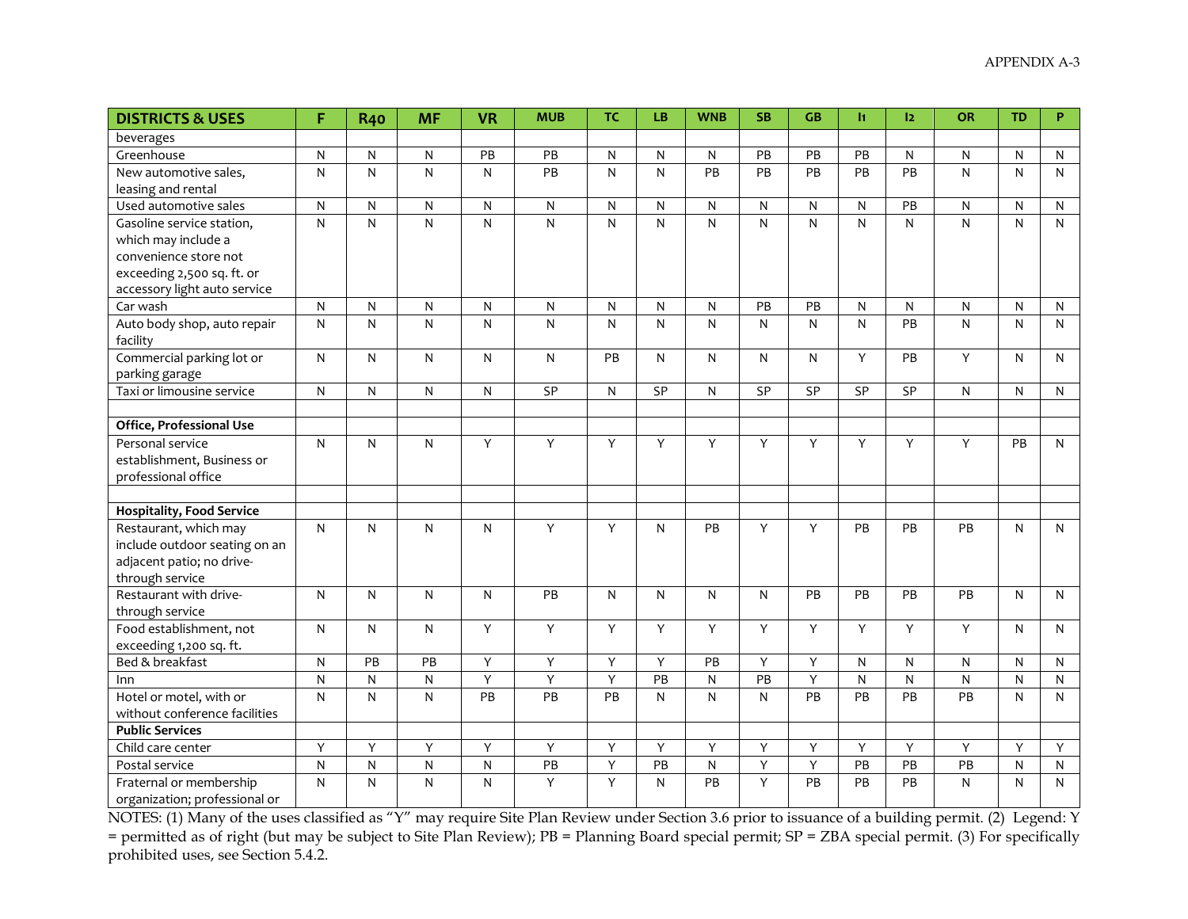| <b>DISTRICTS &amp; USES</b>      | F              | <b>R40</b>   | <b>MF</b>      | <b>VR</b>               | <b>MUB</b>   | <b>TC</b>    | LB              | <b>WNB</b>   | <b>SB</b>      | <b>GB</b>    | $\mathbf{h}$    | 12              | OR              | <b>TD</b>               | P            |
|----------------------------------|----------------|--------------|----------------|-------------------------|--------------|--------------|-----------------|--------------|----------------|--------------|-----------------|-----------------|-----------------|-------------------------|--------------|
| beverages                        |                |              |                |                         |              |              |                 |              |                |              |                 |                 |                 |                         |              |
| Greenhouse                       | ${\sf N}$      | ${\sf N}$    | ${\sf N}$      | PB                      | PB           | ${\sf N}$    | ${\sf N}$       | ${\sf N}$    | PB             | PB           | PB              | ${\sf N}$       | ${\sf N}$       | ${\sf N}$               | N            |
| New automotive sales,            | ${\sf N}$      | ${\sf N}$    | $\overline{N}$ | ${\sf N}$               | PB           | $\mathsf{N}$ | $\mathsf{N}$    | PB           | PB             | PB           | PB              | PB              | N               | $\overline{N}$          | $\mathsf{N}$ |
| leasing and rental               |                |              |                |                         |              |              |                 |              |                |              |                 |                 |                 |                         |              |
| Used automotive sales            | ${\sf N}$      | ${\sf N}$    | ${\sf N}$      | ${\sf N}$               | ${\sf N}$    | ${\sf N}$    | N               | ${\sf N}$    | ${\sf N}$      | N            | N               | PB              | N               | ${\sf N}$               | N            |
| Gasoline service station,        | $\mathsf{N}$   | ${\sf N}$    | ${\sf N}$      | $\overline{\mathsf{N}}$ | $\mathsf{N}$ | $\mathsf{N}$ | $\mathsf{N}$    | ${\sf N}$    | N              | $\mathsf{N}$ | N               | N               | N               | $\overline{\mathbf{N}}$ | N            |
| which may include a              |                |              |                |                         |              |              |                 |              |                |              |                 |                 |                 |                         |              |
| convenience store not            |                |              |                |                         |              |              |                 |              |                |              |                 |                 |                 |                         |              |
| exceeding 2,500 sq. ft. or       |                |              |                |                         |              |              |                 |              |                |              |                 |                 |                 |                         |              |
| accessory light auto service     |                |              |                |                         |              |              |                 |              |                |              |                 |                 |                 |                         |              |
| Car wash                         | N              | N            | $\mathsf{N}$   | N                       | N            | N            | ${\sf N}$       | $\mathsf{N}$ | PB             | PB           | N               | N               | N               | $\mathsf{N}$            | N            |
| Auto body shop, auto repair      | $\mathsf{N}$   | N            | $\mathsf{N}$   | $\mathsf{N}$            | N            | $\mathsf{N}$ | N               | N            | N              | N            | N               | PB              | N               | $\mathsf{N}$            | N            |
| facility                         |                |              |                |                         |              |              |                 |              |                |              |                 |                 |                 |                         |              |
| Commercial parking lot or        | $\mathsf{N}$   | ${\sf N}$    | ${\sf N}$      | N                       | ${\sf N}$    | PB           | N               | N            | N              | N            | Y               | PB              | Y               | $\mathsf{N}$            | N            |
| parking garage                   |                |              |                |                         |              |              |                 |              |                |              |                 |                 |                 |                         |              |
| Taxi or limousine service        | $\mathsf{N}$   | N            | ${\sf N}$      | $\mathsf{N}$            | SP           | ${\sf N}$    | SP              | $\mathsf{N}$ | SP             | SP           | SP              | SP              | N               | ${\sf N}$               | $\mathsf{N}$ |
|                                  |                |              |                |                         |              |              |                 |              |                |              |                 |                 |                 |                         |              |
| Office, Professional Use         |                |              |                |                         |              |              |                 |              |                |              |                 |                 |                 |                         |              |
| Personal service                 | N              | ${\sf N}$    | ${\sf N}$      | Υ                       | Υ            | Y            | Y               | Υ            | Y              | Υ            | Y               | Υ               | Y               | PB                      | N            |
| establishment, Business or       |                |              |                |                         |              |              |                 |              |                |              |                 |                 |                 |                         |              |
| professional office              |                |              |                |                         |              |              |                 |              |                |              |                 |                 |                 |                         |              |
|                                  |                |              |                |                         |              |              |                 |              |                |              |                 |                 |                 |                         |              |
| <b>Hospitality, Food Service</b> |                |              |                |                         |              |              |                 |              |                |              |                 |                 |                 |                         |              |
| Restaurant, which may            | N              | $\mathsf{N}$ | N              | N                       | Y            | Y            | N               | <b>PB</b>    | Y              | Y            | PB              | PB              | PB              | $\mathsf{N}$            | N            |
| include outdoor seating on an    |                |              |                |                         |              |              |                 |              |                |              |                 |                 |                 |                         |              |
| adjacent patio; no drive-        |                |              |                |                         |              |              |                 |              |                |              |                 |                 |                 |                         |              |
| through service                  |                |              |                |                         |              |              |                 |              |                |              |                 |                 |                 |                         |              |
| Restaurant with drive-           | ${\sf N}$      | N            | $\mathsf{N}$   | $\mathsf{N}$            | PB           | ${\sf N}$    | ${\sf N}$       | $\mathsf{N}$ | N              | PB           | PB              | PB              | PB              | $\mathsf{N}$            | N            |
| through service                  |                |              |                |                         |              |              |                 |              |                |              |                 |                 |                 |                         |              |
| Food establishment, not          | $\mathsf{N}$   | N            | $\mathsf{N}$   | Y                       | Y            | Y            | Y               | Υ            | Y              | Y            | Y               | Y               | Y               | N                       | N            |
| exceeding 1,200 sq. ft.          |                |              |                |                         |              |              |                 |              |                |              |                 |                 |                 |                         |              |
| Bed & breakfast                  | $\mathsf{N}$   | PB           | PB             | Υ                       | Υ            | Υ            | Υ               | PB           | Υ              | Υ            | N               | $\mathsf{N}$    | N               | $\mathsf{N}$            | N            |
| Inn                              | N              | ${\sf N}$    | ${\sf N}$      | Υ                       | Υ            | Y            | PB              | N            | PB             | Υ            | ${\sf N}$       | $\mathsf{N}$    | ${\sf N}$       | N                       | N            |
| Hotel or motel, with or          | ${\sf N}$      | ${\sf N}$    | ${\sf N}$      | PB                      | PB           | PB           | N               | ${\sf N}$    | N              | PB           | PB              | PB              | PB              | ${\sf N}$               | N            |
| without conference facilities    |                |              |                |                         |              |              |                 |              |                |              |                 |                 |                 |                         |              |
| <b>Public Services</b>           |                |              |                |                         |              |              |                 |              |                |              |                 |                 |                 |                         |              |
| Child care center                | $\overline{Y}$ | Y            | Υ              | Υ                       | Y            | Υ            | $\overline{Y}$  | Y            | $\overline{Y}$ | Υ            | Y               | Y               | Y               | Y                       | Y            |
| Postal service                   | $\mathsf{N}$   | N            | ${\sf N}$      | ${\sf N}$               | PB           | Υ            | $\overline{PB}$ | ${\sf N}$    | Υ              | Υ            | $\overline{PB}$ | $\overline{PB}$ | $\overline{PB}$ | $\overline{N}$          | N            |
| Fraternal or membership          | N              | N            | N              | N                       | Y            | Y            | N               | PB           | Y              | PB           | PB              | PB              | N               | $\mathsf{N}$            | N            |
| organization; professional or    |                |              |                |                         |              |              |                 |              |                |              |                 |                 |                 |                         |              |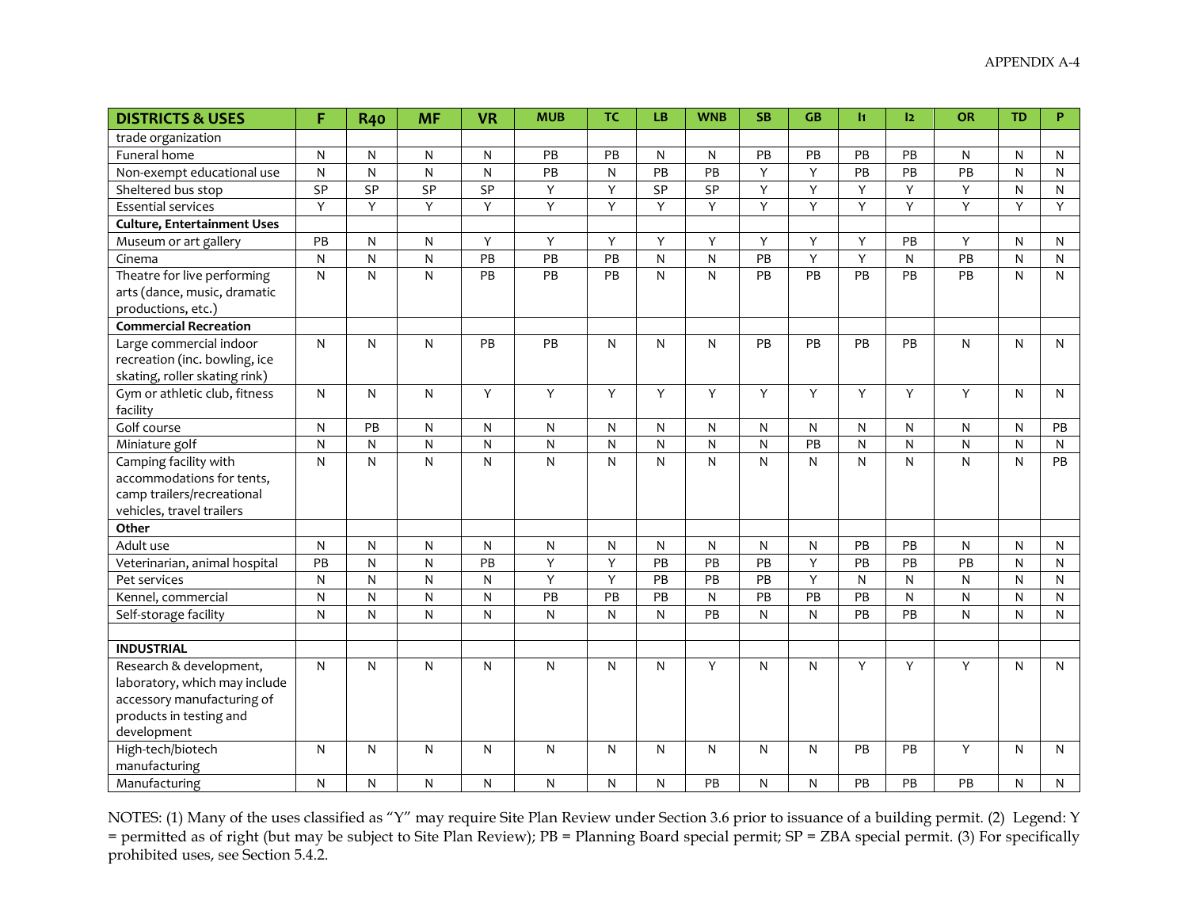| <b>DISTRICTS &amp; USES</b>        | F              | <b>R40</b>     | <b>MF</b>      | <b>VR</b>       | <b>MUB</b>      | <b>TC</b>       | LB                      | <b>WNB</b> | <b>SB</b>       | <b>GB</b> | h.             | 12        | <b>OR</b>       | <b>TD</b>    | P            |
|------------------------------------|----------------|----------------|----------------|-----------------|-----------------|-----------------|-------------------------|------------|-----------------|-----------|----------------|-----------|-----------------|--------------|--------------|
| trade organization                 |                |                |                |                 |                 |                 |                         |            |                 |           |                |           |                 |              |              |
| Funeral home                       | ${\sf N}$      | N              | ${\sf N}$      | N               | PB              | PB              | ${\sf N}$               | N          | PB              | PB        | PB             | PB        | N               | ${\sf N}$    | N            |
| Non-exempt educational use         | $\mathsf{N}$   | N              | $\mathsf{N}$   | N               | PB              | N               | PB                      | PB         | Y               | Υ         | PB             | PB        | PB              | $\mathsf{N}$ | $\mathsf{N}$ |
| Sheltered bus stop                 | SP             | SP             | SP             | SP              | $\overline{Y}$  | Y               | SP                      | SP         | Υ               | Y         | Y              | Y         | Y               | N            | N            |
| <b>Essential services</b>          | $\overline{Y}$ | Y              | Y              | Y               | $\overline{Y}$  | Y               | Y                       | Y          | Y               | Υ         | Y              | Y         | Υ               | Y            | Y            |
| <b>Culture, Entertainment Uses</b> |                |                |                |                 |                 |                 |                         |            |                 |           |                |           |                 |              |              |
| Museum or art gallery              | PB             | ${\sf N}$      | ${\sf N}$      | Y               | Y               | Y               | Y                       | Y          | Y               | Y         | Y              | PB        | Y               | $\mathsf{N}$ | N            |
| Cinema                             | ${\sf N}$      | ${\sf N}$      | ${\sf N}$      | $\overline{PB}$ | $\overline{PB}$ | $\overline{PB}$ | $\overline{\mathsf{N}}$ | ${\sf N}$  | $\overline{PB}$ | Υ         | $\overline{Y}$ | ${\sf N}$ | $\overline{PB}$ | ${\sf N}$    | N            |
| Theatre for live performing        | $\mathsf{N}$   | ${\sf N}$      | N              | PB              | PB              | PB              | N                       | N          | PB              | PB        | PB             | PB        | PB              | $\mathsf{N}$ | N            |
| arts (dance, music, dramatic       |                |                |                |                 |                 |                 |                         |            |                 |           |                |           |                 |              |              |
| productions, etc.)                 |                |                |                |                 |                 |                 |                         |            |                 |           |                |           |                 |              |              |
| <b>Commercial Recreation</b>       |                |                |                |                 |                 |                 |                         |            |                 |           |                |           |                 |              |              |
| Large commercial indoor            | $\mathsf{N}$   | N              | N              | PB              | PB              | N               | N                       | N          | PB              | PB        | PB             | PB        | N               | $\mathsf{N}$ | N            |
| recreation (inc. bowling, ice      |                |                |                |                 |                 |                 |                         |            |                 |           |                |           |                 |              |              |
| skating, roller skating rink)      |                |                |                |                 |                 |                 |                         |            |                 |           |                |           |                 |              |              |
| Gym or athletic club, fitness      | $\mathsf{N}$   | $\mathsf{N}$   | N              | Y               | Y               | Y               | Y                       | Υ          | Y               | Y         | Y              | Y         | Y               | $\mathsf{N}$ | N            |
| facility                           |                |                |                |                 |                 |                 |                         |            |                 |           |                |           |                 |              |              |
| Golf course                        | $\mathsf{N}$   | PB             | N              | N               | N               | N               | N                       | N          | N               | N         | N              | ${\sf N}$ | ${\sf N}$       | $\mathsf{N}$ | PB           |
| Miniature golf                     | ${\sf N}$      | ${\sf N}$      | ${\sf N}$      | ${\sf N}$       | ${\sf N}$       | ${\sf N}$       | ${\sf N}$               | ${\sf N}$  | ${\sf N}$       | PB        | ${\sf N}$      | ${\sf N}$ | ${\sf N}$       | ${\sf N}$    | N            |
| Camping facility with              | $\mathsf{N}$   | N              | N              | ${\sf N}$       | N               | N               | N                       | N          | N               | N         | N              | N         | N               | $\mathsf{N}$ | PB           |
| accommodations for tents,          |                |                |                |                 |                 |                 |                         |            |                 |           |                |           |                 |              |              |
| camp trailers/recreational         |                |                |                |                 |                 |                 |                         |            |                 |           |                |           |                 |              |              |
| vehicles, travel trailers          |                |                |                |                 |                 |                 |                         |            |                 |           |                |           |                 |              |              |
| Other                              |                |                |                |                 |                 |                 |                         |            |                 |           |                |           |                 |              |              |
| Adult use                          | ${\sf N}$      | ${\sf N}$      | $\overline{N}$ | ${\sf N}$       | N               | ${\sf N}$       | ${\sf N}$               | ${\sf N}$  | N               | N         | PB             | PB        | ${\sf N}$       | ${\sf N}$    | ${\sf N}$    |
| Veterinarian, animal hospital      | PB             | ${\sf N}$      | ${\sf N}$      | PB              | Y               | Y               | PB                      | PB         | PB              | Y         | PB             | PB        | PB              | N            | N            |
| Pet services                       | $\mathsf{N}$   | $\overline{N}$ | $\mathsf{N}$   | N               | Y               | Y               | PB                      | PB         | PB              | Υ         | N              | N         | N               | ${\sf N}$    | $\mathsf{N}$ |
| Kennel, commercial                 | ${\sf N}$      | ${\sf N}$      | ${\sf N}$      | N               | PB              | PB              | PB                      | ${\sf N}$  | PB              | PB        | PB             | ${\sf N}$ | N               | ${\sf N}$    | ${\sf N}$    |
| Self-storage facility              | $\mathsf{N}$   | ${\sf N}$      | ${\sf N}$      | N               | N               | ${\sf N}$       | N                       | PB         | N               | N         | PB             | PB        | N               | ${\sf N}$    | N            |
|                                    |                |                |                |                 |                 |                 |                         |            |                 |           |                |           |                 |              |              |
| <b>INDUSTRIAL</b>                  |                |                |                |                 |                 |                 |                         |            |                 |           |                |           |                 |              |              |
| Research & development,            | $\mathsf{N}$   | $\mathsf{N}$   | N              | N               | N               | N               | N                       | Y          | N               | N         | Y              | Y         | Y               | N            | $\mathsf{N}$ |
| laboratory, which may include      |                |                |                |                 |                 |                 |                         |            |                 |           |                |           |                 |              |              |
| accessory manufacturing of         |                |                |                |                 |                 |                 |                         |            |                 |           |                |           |                 |              |              |
| products in testing and            |                |                |                |                 |                 |                 |                         |            |                 |           |                |           |                 |              |              |
| development                        |                |                |                |                 |                 |                 |                         |            |                 |           |                |           |                 |              |              |
| High-tech/biotech                  | N              | $\mathsf{N}$   | $\mathsf{N}$   | N               | N               | N               | N                       | N          | N               | N         | PB             | PB        | Y               | $\mathsf{N}$ | N            |
| manufacturing                      |                |                |                |                 |                 |                 |                         |            |                 |           |                |           |                 |              |              |
| Manufacturing                      | N              | N              | N              | N               | N               | N               | N                       | PB         | N               | N         | PB             | PB        | PB              | N            | N            |